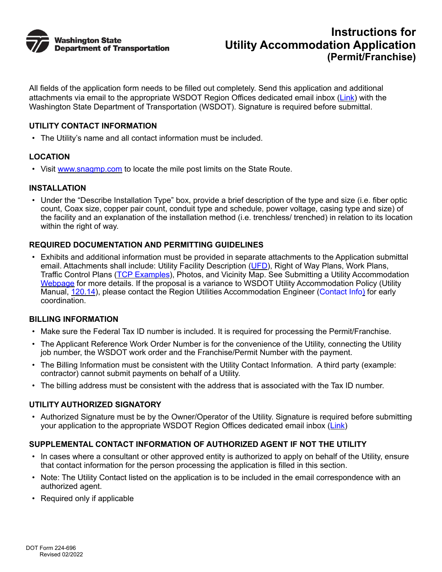

All fields of the application form needs to be filled out completely. Send this application and additional attachments via email to the appropriate WSDOT Region Offices dedicated email inbox ([Link](https://wsdot.wa.gov/engineering-standards/design-topics/utilities-railroads-agreements/utility-accommodation-application)) with the Washington State Department of Transportation (WSDOT). Signature is required before submittal.

### **UTILITY CONTACT INFORMATION**

• The Utility's name and all contact information must be included.

## **LOCATION**

• Visit [www.snagmp.com](http://www.snagmp.com) to locate the mile post limits on the State Route.

## **INSTALLATION**

• Under the "Describe Installation Type" box, provide a brief description of the type and size (i.e. fiber optic count, Coax size, copper pair count, conduit type and schedule, power voltage, casing type and size) of the facility and an explanation of the installation method (i.e. trenchless/ trenched) in relation to its location within the right of way.

## **REQUIRED DOCUMENTATION AND PERMITTING GUIDELINES**

• Exhibits and additional information must be provided in separate attachments to the Application submittal email. Attachments shall include: Utility Facility Description ([UFD\)](http://www.wsdot.wa.gov/publications/fulltext/forms/224-697.xlsx), Right of Way Plans, Work Plans, **Traffic Control Plans [\(TCP Examples](https://www.wsdot.wa.gov/Design/Standards/PlanSheet/Work-Zone-Typical-TCPs.htm))**, Photos, and Vicinity Map. See Submitting a Utility Accommodation [Webpage](https://wsdot.wa.gov/engineering-standards/design-topics/utilities-railroads-agreements/utility-accommodation-application) for more details. If the proposal is a variance to WSDOT Utility Accommodation Policy (Utility Manual, [120.14](http://www.wsdot.wa.gov/publications/manuals/fulltext/M22-87/Chapter1.pdf#page=70)), please contact the Region Utilities Accommodation Engineer ([Contact Info](https://wsdot.wa.gov/engineering-standards/design-topics/utilities-railroads-agreements/utilities-contacts)) for early coordination.

#### **BILLING INFORMATION**

- Make sure the Federal Tax ID number is included. It is required for processing the Permit/Franchise.
- The Applicant Reference Work Order Number is for the convenience of the Utility, connecting the Utility job number, the WSDOT work order and the Franchise/Permit Number with the payment.
- The Billing Information must be consistent with the Utility Contact Information. A third party (example: contractor) cannot submit payments on behalf of a Utility.
- The billing address must be consistent with the address that is associated with the Tax ID number.

#### **UTILITY AUTHORIZED SIGNATORY**

• Authorized Signature must be by the Owner/Operator of the Utility. Signature is required before submitting your application to the appropriate WSDOT Region Offices dedicated email inbox ([Link](https://wsdot.wa.gov/engineering-standards/design-topics/utilities-railroads-agreements/utility-accommodation-application))

## **SUPPLEMENTAL CONTACT INFORMATION OF AUTHORIZED AGENT IF NOT THE UTILITY**

- In cases where a consultant or other approved entity is authorized to apply on behalf of the Utility, ensure that contact information for the person processing the application is filled in this section.
- Note: The Utility Contact listed on the application is to be included in the email correspondence with an authorized agent.
- Required only if applicable